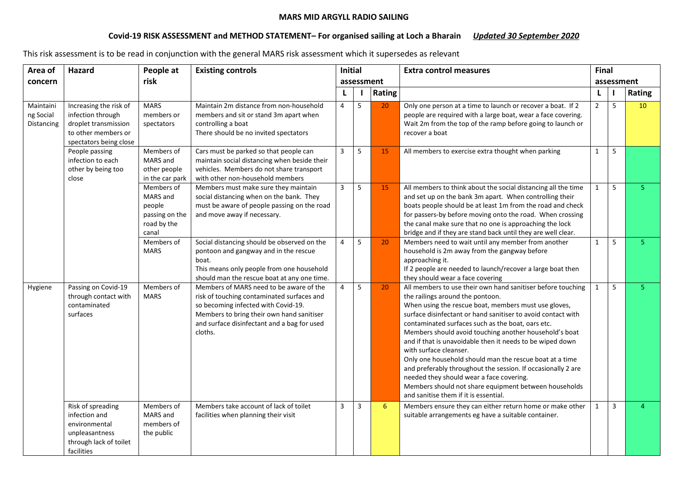## MARS MID ARGYLL RADIO SAILING

## Covid-19 RISK ASSESSMENT and METHOD STATEMENT- For organised sailing at Loch a Bharain Updated 30 September 2020

This risk assessment is to be read in conjunction with the general MARS risk assessment which it supersedes as relevant

| Area of                              | Hazard                                                                                                               | People at                                                                  | <b>Existing controls</b>                                                                                                                                                                                                            | <b>Initial</b><br>assessment |   |               | <b>Extra control measures</b>                                                                                                                                                                                                                                                                                                                                                                                                                                                                                                                                                                                                                                                                          |                | <b>Final</b>   |               |  |
|--------------------------------------|----------------------------------------------------------------------------------------------------------------------|----------------------------------------------------------------------------|-------------------------------------------------------------------------------------------------------------------------------------------------------------------------------------------------------------------------------------|------------------------------|---|---------------|--------------------------------------------------------------------------------------------------------------------------------------------------------------------------------------------------------------------------------------------------------------------------------------------------------------------------------------------------------------------------------------------------------------------------------------------------------------------------------------------------------------------------------------------------------------------------------------------------------------------------------------------------------------------------------------------------------|----------------|----------------|---------------|--|
| concern                              |                                                                                                                      | risk                                                                       |                                                                                                                                                                                                                                     |                              |   |               |                                                                                                                                                                                                                                                                                                                                                                                                                                                                                                                                                                                                                                                                                                        |                | assessment     |               |  |
|                                      |                                                                                                                      |                                                                            |                                                                                                                                                                                                                                     | L                            |   | <b>Rating</b> |                                                                                                                                                                                                                                                                                                                                                                                                                                                                                                                                                                                                                                                                                                        | L              |                | <b>Rating</b> |  |
| Maintaini<br>ng Social<br>Distancing | Increasing the risk of<br>infection through<br>droplet transmission<br>to other members or<br>spectators being close | <b>MARS</b><br>members or<br>spectators                                    | Maintain 2m distance from non-household<br>members and sit or stand 3m apart when<br>controlling a boat<br>There should be no invited spectators                                                                                    | $\overline{4}$               | 5 | 20            | Only one person at a time to launch or recover a boat. If 2<br>people are required with a large boat, wear a face covering.<br>Wait 2m from the top of the ramp before going to launch or<br>recover a boat                                                                                                                                                                                                                                                                                                                                                                                                                                                                                            | $\overline{2}$ | 5              | 10            |  |
|                                      | People passing<br>infection to each<br>other by being too<br>close                                                   | Members of<br>MARS and<br>other people<br>in the car park                  | Cars must be parked so that people can<br>maintain social distancing when beside their<br>vehicles. Members do not share transport<br>with other non-household members                                                              | $\overline{3}$               | 5 | 15            | All members to exercise extra thought when parking                                                                                                                                                                                                                                                                                                                                                                                                                                                                                                                                                                                                                                                     | $\mathbf{1}$   | 5              |               |  |
|                                      |                                                                                                                      | Members of<br>MARS and<br>people<br>passing on the<br>road by the<br>canal | Members must make sure they maintain<br>social distancing when on the bank. They<br>must be aware of people passing on the road<br>and move away if necessary.                                                                      | $\overline{3}$               | 5 | 15            | All members to think about the social distancing all the time<br>and set up on the bank 3m apart. When controlling their<br>boats people should be at least 1m from the road and check<br>for passers-by before moving onto the road. When crossing<br>the canal make sure that no one is approaching the lock<br>bridge and if they are stand back until they are well clear.                                                                                                                                                                                                                                                                                                                         | 1              | 5              | 5.            |  |
|                                      |                                                                                                                      | Members of<br><b>MARS</b>                                                  | Social distancing should be observed on the<br>pontoon and gangway and in the rescue<br>boat.<br>This means only people from one household<br>should man the rescue boat at any one time.                                           | $\overline{4}$               | 5 | 20            | Members need to wait until any member from another<br>household is 2m away from the gangway before<br>approaching it.<br>If 2 people are needed to launch/recover a large boat then<br>they should wear a face covering                                                                                                                                                                                                                                                                                                                                                                                                                                                                                | $\mathbf{1}$   | 5              | 5.            |  |
| Hygiene                              | Passing on Covid-19<br>through contact with<br>contaminated<br>surfaces                                              | Members of<br><b>MARS</b>                                                  | Members of MARS need to be aware of the<br>risk of touching contaminated surfaces and<br>so becoming infected with Covid-19.<br>Members to bring their own hand sanitiser<br>and surface disinfectant and a bag for used<br>cloths. | 4                            | 5 | 20            | All members to use their own hand sanitiser before touching<br>the railings around the pontoon.<br>When using the rescue boat, members must use gloves,<br>surface disinfectant or hand sanitiser to avoid contact with<br>contaminated surfaces such as the boat, oars etc.<br>Members should avoid touching another household's boat<br>and if that is unavoidable then it needs to be wiped down<br>with surface cleanser.<br>Only one household should man the rescue boat at a time<br>and preferably throughout the session. If occasionally 2 are<br>needed they should wear a face covering.<br>Members should not share equipment between households<br>and sanitise them if it is essential. | $\mathbf{1}$   | 5              | 5.            |  |
|                                      | Risk of spreading<br>infection and<br>environmental<br>unpleasantness<br>through lack of toilet<br>facilities        | Members of<br>MARS and<br>members of<br>the public                         | Members take account of lack of toilet<br>facilities when planning their visit                                                                                                                                                      | $\overline{3}$               | 3 | 6             | Members ensure they can either return home or make other<br>suitable arrangements eg have a suitable container.                                                                                                                                                                                                                                                                                                                                                                                                                                                                                                                                                                                        | 1              | $\overline{3}$ | 4             |  |